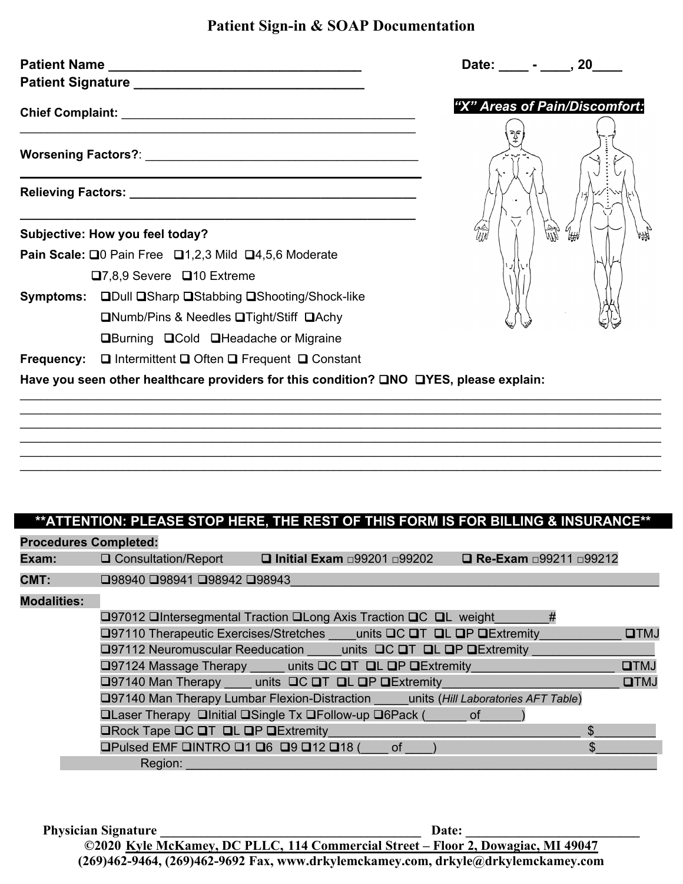## **Patient Sign-in & SOAP Documentation**

| "X" Areas of Pain/Discomfort:<br>lith<br>Subjective: How you feel today?               |  |  |
|----------------------------------------------------------------------------------------|--|--|
|                                                                                        |  |  |
|                                                                                        |  |  |
|                                                                                        |  |  |
|                                                                                        |  |  |
| Pain Scale: □0 Pain Free □1,2,3 Mild □4,5,6 Moderate                                   |  |  |
| $\Box$ 7,8,9 Severe $\Box$ 10 Extreme                                                  |  |  |
| Symptoms: QDull QSharp QStabbing QShooting/Shock-like                                  |  |  |
| <b>QNumb/Pins &amp; Needles QTight/Stiff QAchy</b>                                     |  |  |
| <b>QBurning QCold QHeadache or Migraine</b>                                            |  |  |
| <b>Frequency:</b> $\Box$ Intermittent $\Box$ Often $\Box$ Frequent $\Box$ Constant     |  |  |
| Have you seen other healthcare providers for this condition? ONO OYES, please explain: |  |  |
|                                                                                        |  |  |
|                                                                                        |  |  |
|                                                                                        |  |  |

## **\*\*ATTENTION: PLEASE STOP HERE, THE REST OF THIS FORM IS FOR BILLING & INSURANCE\*\***

\_\_\_\_\_\_\_\_\_\_\_\_\_\_\_\_\_\_\_\_\_\_\_\_\_\_\_\_\_\_\_\_\_\_\_\_\_\_\_\_\_\_\_\_\_\_\_\_\_\_\_\_\_\_\_\_\_\_\_\_\_\_\_\_\_\_\_\_\_\_\_\_\_\_\_\_\_\_\_\_\_\_\_\_\_\_\_\_\_\_\_\_\_\_

| <b>Procedures Completed:</b> |                                          |                                                                                          |                                |             |
|------------------------------|------------------------------------------|------------------------------------------------------------------------------------------|--------------------------------|-------------|
|                              | <b>Exam:</b> Q Consultation/Report       | $\Box$ Initial Exam $\Box$ 99201 $\Box$ 99202                                            | <b>□ Re-Exam □99211 □99212</b> |             |
| CMT:                         | □98940 □98941 □98942 □98943              |                                                                                          |                                |             |
| <b>Modalities:</b>           |                                          |                                                                                          |                                |             |
|                              |                                          | □97012 □Intersegmental Traction □Long Axis Traction □C □L weight                         | #                              |             |
|                              |                                          | <b>□97110 Therapeutic Exercises/Stretches</b> units <b>□C □T □L □P □Extremity</b>        |                                | <b>OTMJ</b> |
|                              |                                          | □97112 Neuromuscular Reeducation units □C □T □L □P □Extremity                            |                                |             |
|                              |                                          | <b>Q97124 Massage Therapy</b> _____ units QC QT QL QP QExtremity                         |                                | DTMJ        |
|                              |                                          | □97140 Man Therapy units □C □T □L □P □Extremity                                          |                                | <b>OTMJ</b> |
|                              |                                          | <b>Q97140 Man Therapy Lumbar Flexion-Distraction units (Hill Laboratories AFT Table)</b> |                                |             |
|                              |                                          | <b>QLaser Therapy QInitial QSingle Tx QFollow-up Q6Pack (</b> of                         |                                |             |
|                              | <b>ORock Tape OC OT OL OP OExtremity</b> |                                                                                          | \$.                            |             |
|                              | OPulsed EMF QINTRO Q1 Q6 Q9 Q12 Q18 (    | of                                                                                       | \$                             |             |
|                              | Region:                                  |                                                                                          |                                |             |

**Physician Signature \_\_\_\_\_\_\_\_\_\_\_\_\_\_\_\_\_\_\_\_\_\_\_\_\_\_\_\_\_\_\_\_\_\_\_\_\_\_\_ Date: \_\_\_\_\_\_\_\_\_\_\_\_\_\_\_\_\_\_\_\_\_\_\_\_\_\_ ©2020 Kyle McKamey, DC PLLC, 114 Commercial Street – Floor 2, Dowagiac, MI 49047 (269)462-9464, (269)462-9692 Fax, [www.drkylemckamey.com,](http://www.drkylemckamey.com/) drkyle@drkylemckamey.com**